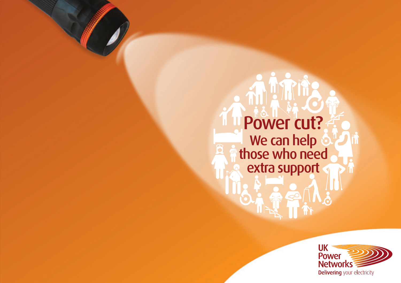# Power cut? IŤ We can help those who need extra support $\mathbf{P}$

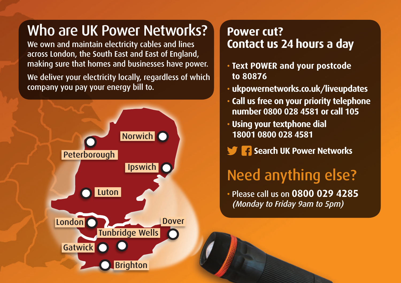## Who are UK Power Networks?

We own and maintain electricity cables and lines across London, the South East and East of England, making sure that homes and businesses have power.

We deliver your electricity locally, regardless of which company you pay your energy bill to.



#### **Power cut? Contact us 24 hours a day**

- **Text POWER and your postcode to 80876**
- **ukpowernetworks.co.uk/liveupdates**
- **Call us free on your priority telephone number 0800 028 4581 or call 105**
- **Using your textphone dial**  18001 0800 028 4581

gatwick and the second state

**Sole F** Search UK Power Networks **Peterborough** 

## Need anything else?

• Please call us on 0800 029 4285 (Monday to Friday 9am to 5pm)

Brighton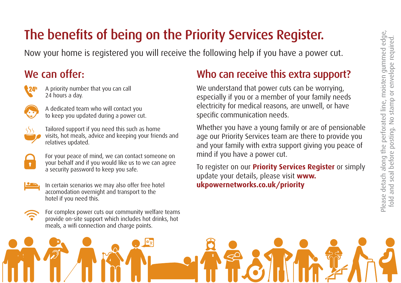## The benefits of being on the Priority Services Register.

Now your home is registered you will receive the following help if you have a power cut.

#### We can offer:



A priority number that you can call 24 hours a day.



A dedicated team who will contact you to keep you updated during a power cut.



Tailored support if you need this such as home visits, hot meals, advice and keeping your friends and relatives updated.



For your peace of mind, we can contact someone on your behalf and if you would like us to we can agree a security password to keep you safe.



In certain scenarios we may also offer free hotel accomodation overnight and transport to the hotel if you need this.



For complex power cuts our community welfare teams provide on-site support which includes hot drinks, hot meals, a wifi connection and charge points.

#### Who can receive this extra support?

We understand that power cuts can be worrying, especially if you or a member of your family needs electricity for medical reasons, are unwell, or have specific communication needs.

Whether you have a young family or are of pensionable age our Priority Services team are there to provide you and your family with extra support giving you peace of mind if you have a power cut.

To register on our **Priority Services Register** or simply update your details, please visit **www. ukpowernetworks.co.uk/priority**

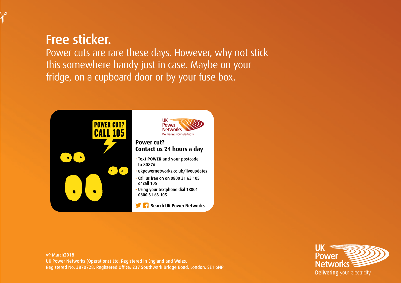#### Free sticker.

Power cuts are rare these days. However, why not stick this somewhere handy just in case. Maybe on your fridge, on a cupboard door or by your fuse box.



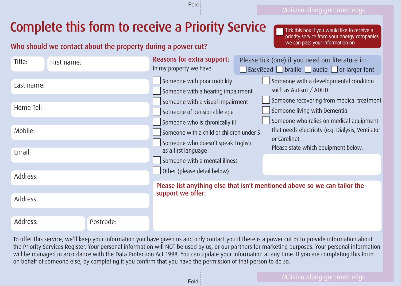### Complete this form to receive a Priority Service

#### Who should we contact about the property during a power cut?

Tick this box if you would like to receive a priority service from your energy companies, we can pass your information on

| Title:     | First name: |                                                                                                | Reasons for extra support:<br>In my property we have:                                            |  | Please tick (one) if you need our literature in:<br>$\Box$ EasyRead $\Box$ braille $\Box$ audio $\Box$ or larger font |
|------------|-------------|------------------------------------------------------------------------------------------------|--------------------------------------------------------------------------------------------------|--|-----------------------------------------------------------------------------------------------------------------------|
| Last name: |             |                                                                                                | Someone with poor mobility<br>Someone with a hearing impairment                                  |  | Someone with a developmental condition<br>such as Autism / ADHD                                                       |
| Home Tel:  |             |                                                                                                | Someone with a visual impairment<br>Someone of pensionable age<br>Someone who is chronically ill |  | Someone recovering from medical treatment<br>Someone living with Dementia<br>Someone who relies on medical equipment  |
| Mobile:    |             |                                                                                                | Someone with a child or children under 5<br>Someone who doesn't speak English                    |  | that needs electricity (e.g. Dialysis, Ventilator<br>or Careline).<br>Please state which equipment below.             |
| Email:     |             |                                                                                                | as a first language<br>Someone with a mental illness                                             |  |                                                                                                                       |
| Address:   |             |                                                                                                | Other (please detail below)                                                                      |  |                                                                                                                       |
| Address:   |             | Please list anything else that isn't mentioned above so we can tailor the<br>support we offer: |                                                                                                  |  |                                                                                                                       |
| Address:   | Postcode:   |                                                                                                |                                                                                                  |  |                                                                                                                       |

Fold

To offer this service, we'll keep your information you have given us and only contact you if there is a power cut or to provide information about the Priority Services Register. Your personal information will NOT be used by us, or our partners for marketing purposes. Your personal information will be managed in accordance with the Data Protection Act 1998. You can update your information at any time. If you are completing this form on behalf of someone else, by completing it you confirm that you have the permission of that person to do so.

Fold